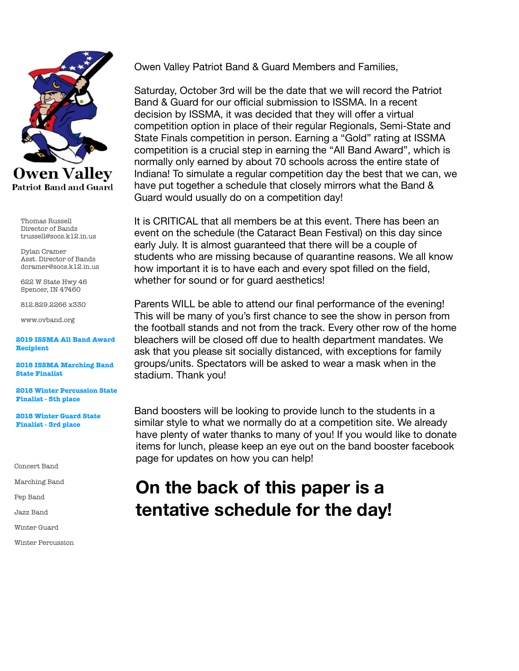

Thomas Russell Director of Bands trussell@socs.k12.in.us

Dylan Cramer Asst. Director of Bands dcramer@socs.k12.in.us

622 W State Hwy 46 Spencer, IN 47460

812.829.2266 x330

www.ovband.org

**2019 ISSMA All Band Award Recipient** 

**2018 ISSMA Marching Band State Finalist** 

**2018 Winter Percussion State Finalist - 5th place** 

**2018 Winter Guard State Finalist - 3rd place** 

Concert Band

Marching Band

Pep Band

Jazz Band

Winter Guard

Winter Percussion

Owen Valley Patriot Band & Guard Members and Families,

Saturday, October 3rd will be the date that we will record the Patriot Band & Guard for our official submission to ISSMA. In a recent decision by ISSMA, it was decided that they will offer a virtual competition option in place of their regular Regionals, Semi-State and State Finals competition in person. Earning a "Gold" rating at ISSMA competition is a crucial step in earning the "All Band Award", which is normally only earned by about 70 schools across the entire state of Indiana! To simulate a regular competition day the best that we can, we have put together a schedule that closely mirrors what the Band & Guard would usually do on a competition day!

It is CRITICAL that all members be at this event. There has been an event on the schedule (the Cataract Bean Festival) on this day since early July. It is almost guaranteed that there will be a couple of students who are missing because of quarantine reasons. We all know how important it is to have each and every spot filled on the field, whether for sound or for guard aesthetics!

Parents WILL be able to attend our final performance of the evening! This will be many of you's first chance to see the show in person from the football stands and not from the track. Every other row of the home bleachers will be closed off due to health department mandates. We ask that you please sit socially distanced, with exceptions for family groups/units. Spectators will be asked to wear a mask when in the stadium. Thank you!

Band boosters will be looking to provide lunch to the students in a similar style to what we normally do at a competition site. We already have plenty of water thanks to many of you! If you would like to donate items for lunch, please keep an eye out on the band booster facebook page for updates on how you can help!

## **On the back of this paper is a tentative schedule for the day!**